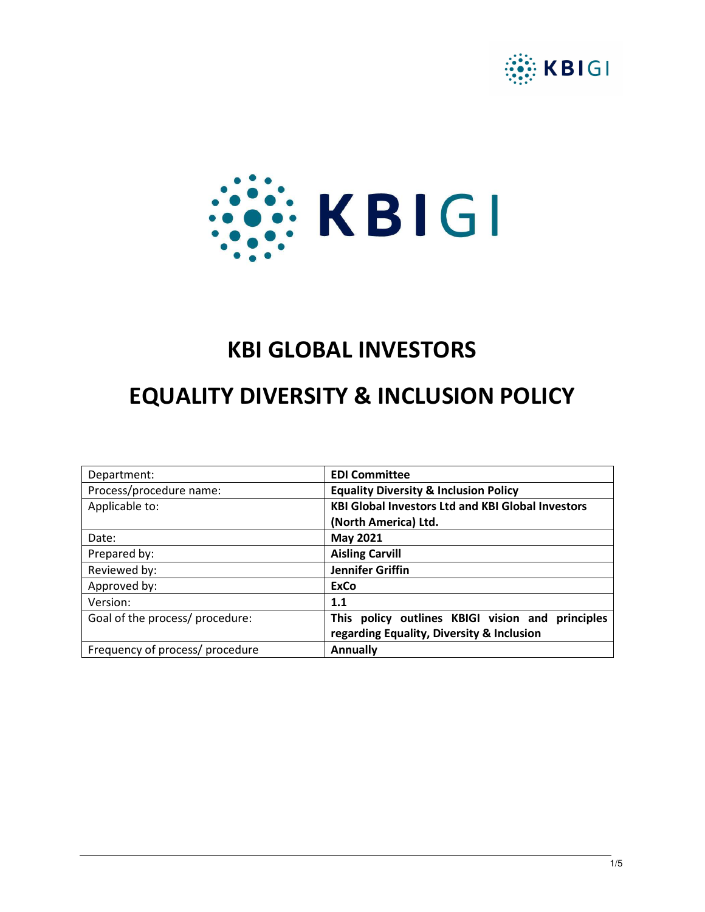



# **KBI GLOBAL INVESTORS**

# **EQUALITY DIVERSITY & INCLUSION POLICY**

| Department:                     | <b>EDI Committee</b>                                     |  |  |
|---------------------------------|----------------------------------------------------------|--|--|
| Process/procedure name:         | <b>Equality Diversity &amp; Inclusion Policy</b>         |  |  |
| Applicable to:                  | <b>KBI Global Investors Ltd and KBI Global Investors</b> |  |  |
|                                 | (North America) Ltd.                                     |  |  |
| Date:                           | <b>May 2021</b>                                          |  |  |
| Prepared by:                    | <b>Aisling Carvill</b>                                   |  |  |
| Reviewed by:                    | <b>Jennifer Griffin</b>                                  |  |  |
| Approved by:                    | <b>ExCo</b>                                              |  |  |
| Version:                        | 1.1                                                      |  |  |
| Goal of the process/ procedure: | This policy outlines KBIGI vision and principles         |  |  |
|                                 | regarding Equality, Diversity & Inclusion                |  |  |
| Frequency of process/ procedure | <b>Annually</b>                                          |  |  |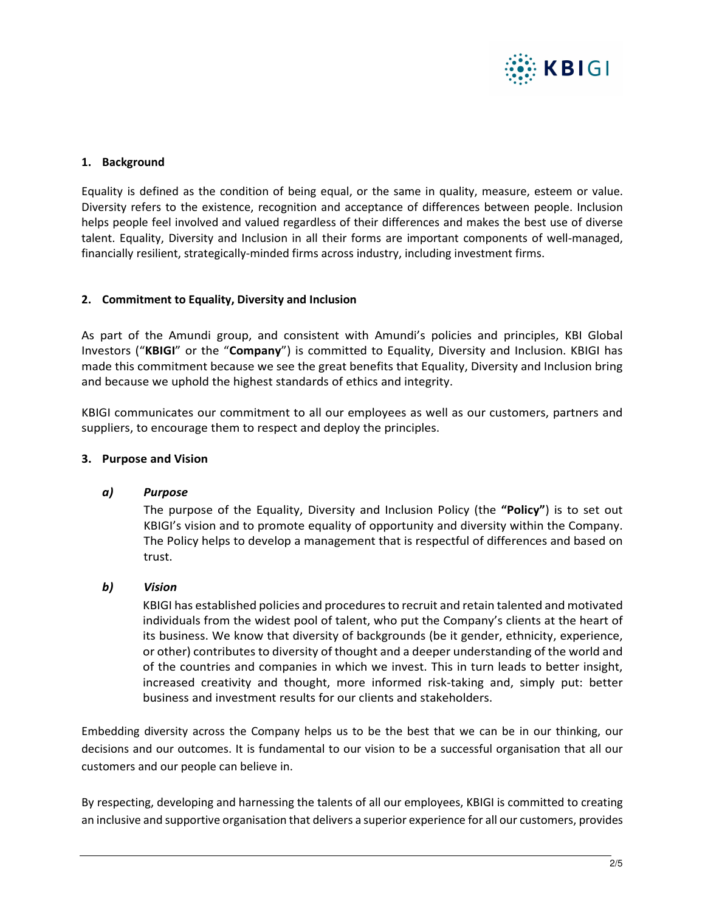

### **1. Background**

Equality is defined as the condition of being equal, or the same in quality, measure, esteem or value. Diversity refers to the existence, recognition and acceptance of differences between people. Inclusion helps people feel involved and valued regardless of their differences and makes the best use of diverse talent. Equality, Diversity and Inclusion in all their forms are important components of well-managed, financially resilient, strategically-minded firms across industry, including investment firms.

#### **2. Commitment to Equality, Diversity and Inclusion**

As part of the Amundi group, and consistent with Amundi's policies and principles, KBI Global Investors ("**KBIGI**" or the "**Company**") is committed to Equality, Diversity and Inclusion. KBIGI has made this commitment because we see the great benefits that Equality, Diversity and Inclusion bring and because we uphold the highest standards of ethics and integrity.

KBIGI communicates our commitment to all our employees as well as our customers, partners and suppliers, to encourage them to respect and deploy the principles.

#### **3. Purpose and Vision**

#### *a) Purpose*

The purpose of the Equality, Diversity and Inclusion Policy (the **"Policy"**) is to set out KBIGI's vision and to promote equality of opportunity and diversity within the Company. The Policy helps to develop a management that is respectful of differences and based on trust.

#### *b) Vision*

KBIGI has established policies and procedures to recruit and retain talented and motivated individuals from the widest pool of talent, who put the Company's clients at the heart of its business. We know that diversity of backgrounds (be it gender, ethnicity, experience, or other) contributes to diversity of thought and a deeper understanding of the world and of the countries and companies in which we invest. This in turn leads to better insight, increased creativity and thought, more informed risk-taking and, simply put: better business and investment results for our clients and stakeholders.

Embedding diversity across the Company helps us to be the best that we can be in our thinking, our decisions and our outcomes. It is fundamental to our vision to be a successful organisation that all our customers and our people can believe in.

By respecting, developing and harnessing the talents of all our employees, KBIGI is committed to creating an inclusive and supportive organisation that delivers a superior experience for all our customers, provides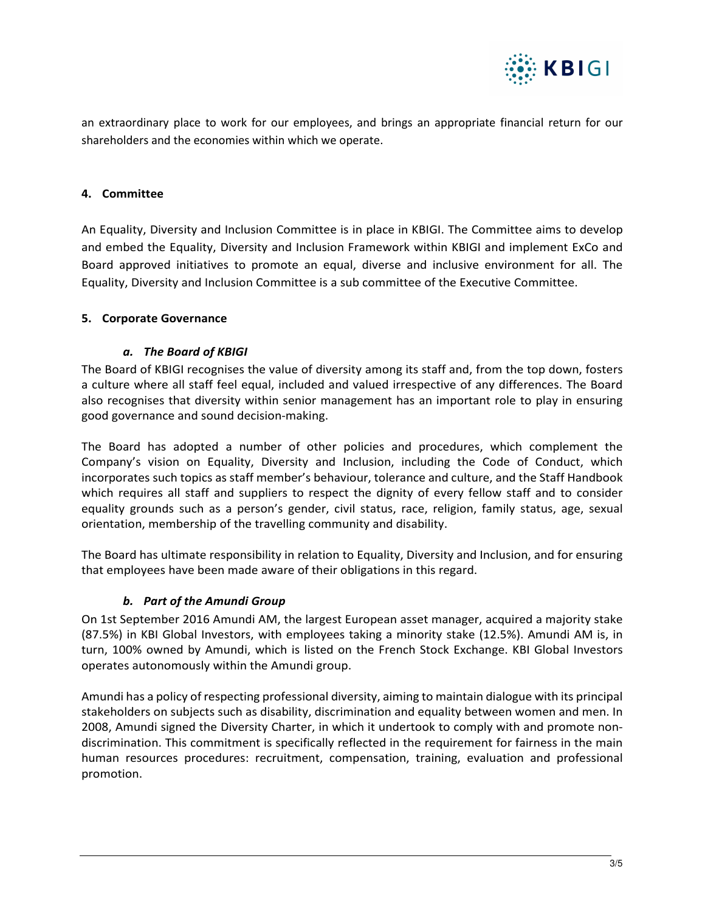

an extraordinary place to work for our employees, and brings an appropriate financial return for our shareholders and the economies within which we operate.

## **4. Committee**

An Equality, Diversity and Inclusion Committee is in place in KBIGI. The Committee aims to develop and embed the Equality, Diversity and Inclusion Framework within KBIGI and implement ExCo and Board approved initiatives to promote an equal, diverse and inclusive environment for all. The Equality, Diversity and Inclusion Committee is a sub committee of the Executive Committee.

### **5. Corporate Governance**

### *a. The Board of KBIGI*

The Board of KBIGI recognises the value of diversity among its staff and, from the top down, fosters a culture where all staff feel equal, included and valued irrespective of any differences. The Board also recognises that diversity within senior management has an important role to play in ensuring good governance and sound decision-making.

The Board has adopted a number of other policies and procedures, which complement the Company's vision on Equality, Diversity and Inclusion, including the Code of Conduct, which incorporates such topics as staff member's behaviour, tolerance and culture, and the Staff Handbook which requires all staff and suppliers to respect the dignity of every fellow staff and to consider equality grounds such as a person's gender, civil status, race, religion, family status, age, sexual orientation, membership of the travelling community and disability.

The Board has ultimate responsibility in relation to Equality, Diversity and Inclusion, and for ensuring that employees have been made aware of their obligations in this regard.

### *b. Part of the Amundi Group*

On 1st September 2016 Amundi AM, the largest European asset manager, acquired a majority stake (87.5%) in KBI Global Investors, with employees taking a minority stake (12.5%). Amundi AM is, in turn, 100% owned by Amundi, which is listed on the French Stock Exchange. KBI Global Investors operates autonomously within the Amundi group.

Amundi has a policy of respecting professional diversity, aiming to maintain dialogue with its principal stakeholders on subjects such as disability, discrimination and equality between women and men. In 2008, Amundi signed the Diversity Charter, in which it undertook to comply with and promote nondiscrimination. This commitment is specifically reflected in the requirement for fairness in the main human resources procedures: recruitment, compensation, training, evaluation and professional promotion.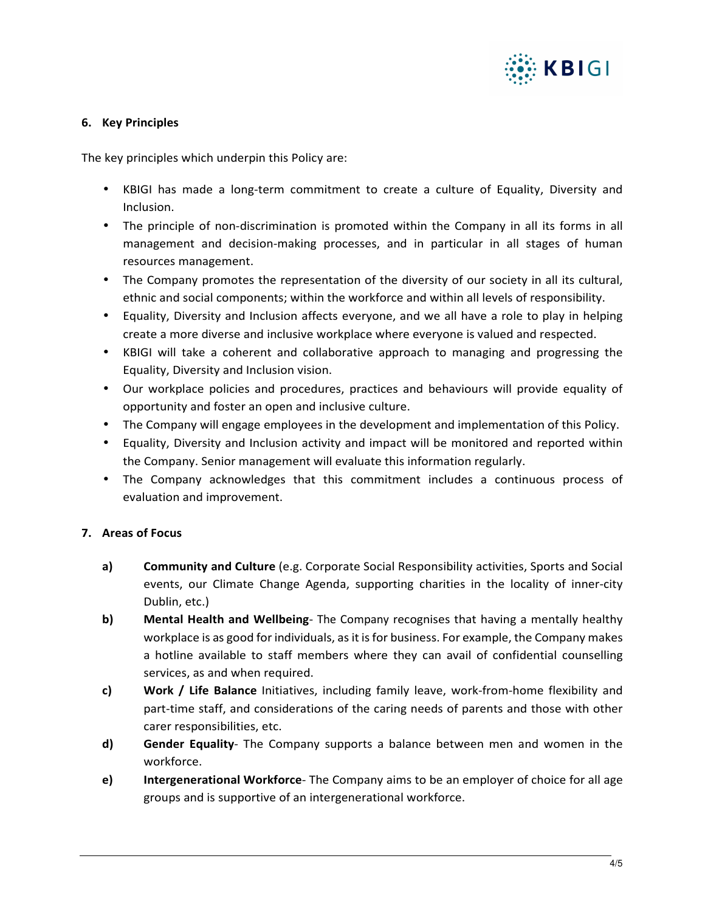

## **6. Key Principles**

The key principles which underpin this Policy are:

- KBIGI has made a long-term commitment to create a culture of Equality, Diversity and Inclusion.
- The principle of non-discrimination is promoted within the Company in all its forms in all management and decision-making processes, and in particular in all stages of human resources management.
- The Company promotes the representation of the diversity of our society in all its cultural, ethnic and social components; within the workforce and within all levels of responsibility.
- Equality, Diversity and Inclusion affects everyone, and we all have a role to play in helping create a more diverse and inclusive workplace where everyone is valued and respected.
- KBIGI will take a coherent and collaborative approach to managing and progressing the Equality, Diversity and Inclusion vision.
- Our workplace policies and procedures, practices and behaviours will provide equality of opportunity and foster an open and inclusive culture.
- The Company will engage employees in the development and implementation of this Policy.
- Equality, Diversity and Inclusion activity and impact will be monitored and reported within the Company. Senior management will evaluate this information regularly.
- The Company acknowledges that this commitment includes a continuous process of evaluation and improvement.

## **7. Areas of Focus**

- **a) Community and Culture** (e.g. Corporate Social Responsibility activities, Sports and Social events, our Climate Change Agenda, supporting charities in the locality of inner-city Dublin, etc.)
- **b) Mental Health and Wellbeing** The Company recognises that having a mentally healthy workplace is as good for individuals, as it is for business. For example, the Company makes a hotline available to staff members where they can avail of confidential counselling services, as and when required.
- **c) Work / Life Balance** Initiatives, including family leave, work-from-home flexibility and part-time staff, and considerations of the caring needs of parents and those with other carer responsibilities, etc.
- **d) Gender Equality** The Company supports a balance between men and women in the workforce.
- **e) Intergenerational Workforce** The Company aims to be an employer of choice for all age groups and is supportive of an intergenerational workforce.